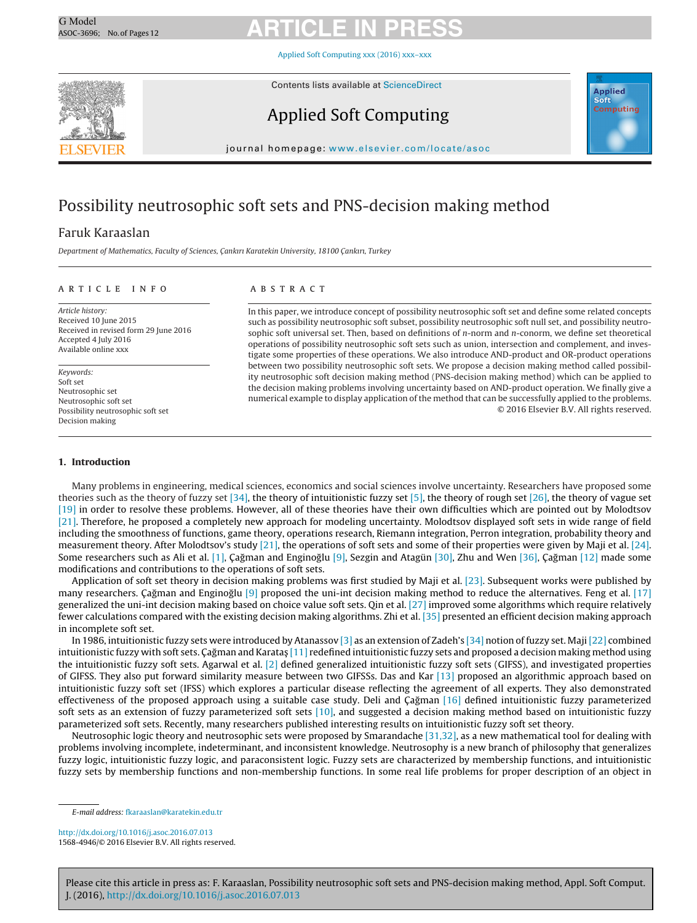Applied Soft [Computing](dx.doi.org/10.1016/j.asoc.2016.07.013) xxx (2016) xxx–xxx



Contents lists available at [ScienceDirect](http://www.sciencedirect.com/science/journal/15684946)

### Applied Soft Computing



journal homepage: <www.elsevier.com/locate/asoc>

### Possibility neutrosophic soft sets and PNS-decision making method

### Faruk Karaaslan

Department of Mathematics, Faculty of Sciences, Cankırı Karatekin University, 18100 Cankırı, Turkey

#### a r t i c l e i n f o

Article history: Received 10 June 2015 Received in revised form 29 June 2016 Accepted 4 July 2016 Available online xxx

Keywords: Soft set Neutrosophic set Neutrosophic soft set Possibility neutrosophic soft set Decision making

### A B S T R A C T

In this paper, we introduce concept of possibility neutrosophic soft set and define some related concepts such as possibility neutrosophic soft subset, possibility neutrosophic soft null set, and possibility neutrosophic soft universal set. Then, based on definitions of  $n$ -norm and  $n$ -conorm, we define set theoretical operations of possibility neutrosophic soft sets such as union, intersection and complement, and investigate some properties of these operations. We also introduce AND-product and OR-product operations between two possibility neutrosophic soft sets. We propose a decision making method called possibility neutrosophic soft decision making method (PNS-decision making method) which can be applied to the decision making problems involving uncertainty based on AND-product operation. We finally give a numerical example to display application of the method that can be successfully applied to the problems. © 2016 Elsevier B.V. All rights reserved.

#### **1. Introduction**

Many problems in engineering, medical sciences, economics and social sciences involve uncertainty. Researchers have proposed some theories such as the theory of fuzzy set [\[34\],](#page-11-0) the theory of intuitionistic fuzzy set [\[5\],](#page-11-0) the theory of rough set [\[26\],](#page-11-0) the theory of vague set [\[19\]](#page-11-0) in order to resolve these problems. However, all of these theories have their own difficulties which are pointed out by Molodtsov [\[21\].](#page-11-0) Therefore, he proposed a completely new approach for modeling uncertainty. Molodtsov displayed soft sets in wide range of field including the smoothness of functions, game theory, operations research, Riemann integration, Perron integration, probability theory and measurement theory. After Molodtsov's study [\[21\],](#page-11-0) the operations of soft sets and some of their properties were given by Maji et al. [\[24\].](#page-11-0) Some researchers such as Ali et al. [\[1\],](#page-11-0) Çağman and Enginoğlu [\[9\],](#page-11-0) Sezgin and Atagün [\[30\],](#page-11-0) Zhu and Wen [\[36\],](#page-11-0) Çağman [\[12\]](#page-11-0) made some modifications and contributions to the operations of soft sets.

Application of soft set theory in decision making problems was first studied by Maji et al. [\[23\].](#page-11-0) Subsequent works were published by many researchers. Çağman and Enginoğlu  $[9]$  proposed the uni-int decision making method to reduce the alternatives. Feng et al. [\[17\]](#page-11-0) generalized the uni-int decision making based on choice value soft sets. Qin et al. [\[27\]](#page-11-0) improved some algorithms which require relatively fewer calculations compared with the existing decision making algorithms. Zhi et al. [\[35\]](#page-11-0) presented an efficient decision making approach in incomplete soft set.

In 1986, intuitionistic fuzzy sets were introduced by Atanassov [\[3\]](#page-11-0) as an extension of Zadeh's [\[34\]](#page-11-0) notion of fuzzy set. Maji[\[22\]](#page-11-0) combined intuitionistic fuzzy with soft sets. Cagman and Karatas [\[11\]](#page-11-0) redefined intuitionistic fuzzy sets and proposed a decision making method using the intuitionistic fuzzy soft sets. Agarwal et al.  $[2]$  defined generalized intuitionistic fuzzy soft sets (GIFSS), and investigated properties of GIFSS. They also put forward similarity measure between two GIFSSs. Das and Kar [\[13\]](#page-11-0) proposed an algorithmic approach based on intuitionistic fuzzy soft set (IFSS) which explores a particular disease reflecting the agreement of all experts. They also demonstrated effectiveness of the proposed approach using a suitable case study. Deli and Çağman [\[16\]](#page-11-0) defined intuitionistic fuzzy parameterized soft sets as an extension of fuzzy parameterized soft sets [\[10\],](#page-11-0) and suggested a decision making method based on intuitionistic fuzzy parameterized soft sets. Recently, many researchers published interesting results on intuitionistic fuzzy soft set theory.

Neutrosophic logic theory and neutrosophic sets were proposed by Smarandache [\[31,32\],](#page-11-0) as a new mathematical tool for dealing with problems involving incomplete, indeterminant, and inconsistent knowledge. Neutrosophy is a new branch of philosophy that generalizes fuzzy logic, intuitionistic fuzzy logic, and paraconsistent logic. Fuzzy sets are characterized by membership functions, and intuitionistic fuzzy sets by membership functions and non-membership functions. In some real life problems for proper description of an object in

[http://dx.doi.org/10.1016/j.asoc.2016.07.013](dx.doi.org/10.1016/j.asoc.2016.07.013) 1568-4946/© 2016 Elsevier B.V. All rights reserved.

E-mail address: [fkaraaslan@karatekin.edu.tr](mailto:fkaraaslan@karatekin.edu.tr)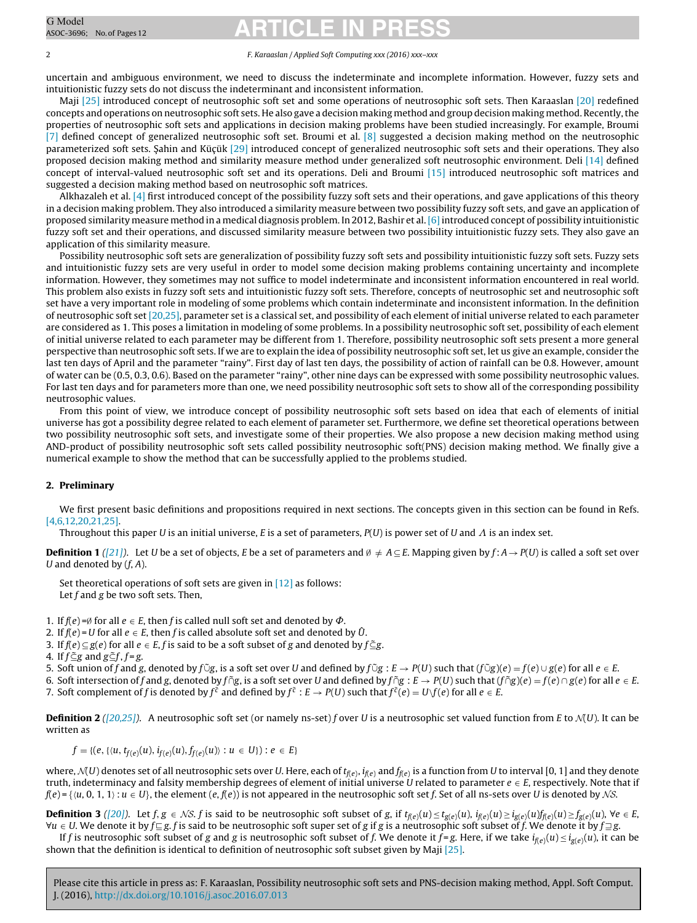#### 2 F. Karaaslan / Applied Soft Computing xxx (2016) xxx–xxx

uncertain and ambiguous environment, we need to discuss the indeterminate and incomplete information. However, fuzzy sets and intuitionistic fuzzy sets do not discuss the indeterminant and inconsistent information.

Maji [\[25\]](#page-11-0) introduced concept of neutrosophic soft set and some operations of neutrosophic soft sets. Then Karaaslan [\[20\]](#page-11-0) redefined concepts and operations on neutrosophic soft sets. He also gave a decision making method and group decision making method. Recently, the properties of neutrosophic soft sets and applications in decision making problems have been studied increasingly. For example, Broumi [\[7\]](#page-11-0) defined concept of generalized neutrosophic soft set. Broumi et al. [\[8\]](#page-11-0) suggested a decision making method on the neutrosophic parameterized soft sets. Sahin and Kücük [\[29\]](#page-11-0) introduced concept of generalized neutrosophic soft sets and their operations. They also proposed decision making method and similarity measure method under generalized soft neutrosophic environment. Deli [\[14\]](#page-11-0) defined concept of interval-valued neutrosophic soft set and its operations. Deli and Broumi [\[15\]](#page-11-0) introduced neutrosophic soft matrices and suggested a decision making method based on neutrosophic soft matrices.

Alkhazaleh et al. [\[4\]](#page-11-0) first introduced concept of the possibility fuzzy soft sets and their operations, and gave applications of this theory in a decision making problem. They also introduced a similarity measure between two possibility fuzzy soft sets, and gave an application of proposed similarity measure method in a medical diagnosis problem. In 2012, Bashir et al.[\[6\]in](#page-11-0)troduced concept of possibility intuitionistic fuzzy soft set and their operations, and discussed similarity measure between two possibility intuitionistic fuzzy sets. They also gave an application of this similarity measure.

Possibility neutrosophic soft sets are generalization of possibility fuzzy soft sets and possibility intuitionistic fuzzy soft sets. Fuzzy sets and intuitionistic fuzzy sets are very useful in order to model some decision making problems containing uncertainty and incomplete information. However, they sometimes may not suffice to model indeterminate and inconsistent information encountered in real world. This problem also exists in fuzzy soft sets and intuitionistic fuzzy soft sets. Therefore, concepts of neutrosophic set and neutrosophic soft set have a very important role in modeling of some problems which contain indeterminate and inconsistent information. In the definition of neutrosophic soft set [\[20,25\],](#page-11-0) parameter set is a classical set, and possibility of each element of initial universe related to each parameter are considered as 1. This poses a limitation in modeling of some problems. In a possibility neutrosophic soft set, possibility of each element of initial universe related to each parameter may be different from 1. Therefore, possibility neutrosophic soft sets present a more general perspective than neutrosophic soft sets. If we are to explain the idea of possibility neutrosophic soft set, let us give an example, consider the last ten days of April and the parameter "rainy". First day of last ten days, the possibility of action of rainfall can be 0.8. However, amount of water can be (0.5, 0.3, 0.6). Based on the parameter "rainy", other nine days can be expressed with some possibility neutrosophic values. For last ten days and for parameters more than one, we need possibility neutrosophic soft sets to show all of the corresponding possibility neutrosophic values.

From this point of view, we introduce concept of possibility neutrosophic soft sets based on idea that each of elements of initial universe has got a possibility degree related to each element of parameter set. Furthermore, we define set theoretical operations between two possibility neutrosophic soft sets, and investigate some of their properties. We also propose a new decision making method using AND-product of possibility neutrosophic soft sets called possibility neutrosophic soft(PNS) decision making method. We finally give a numerical example to show the method that can be successfully applied to the problems studied.

#### **2. Preliminary**

We first present basic definitions and propositions required in next sections. The concepts given in this section can be found in Refs. [\[4,6,12,20,21,25\].](#page-11-0)

Throughout this paper U is an initial universe, E is a set of parameters, P(U) is power set of U and  $\varLambda$  is an index set.

**Definition 1** ([\[21\]\)](#page-11-0). Let U be a set of objects, E be a set of parameters and  $\emptyset \neq A \subseteq E$ . Mapping given by  $f: A \rightarrow P(U)$  is called a soft set over U and denoted by  $(f, A)$ .

Set theoretical operations of soft sets are given in [\[12\]](#page-11-0) as follows: Let  $f$  and  $g$  be two soft sets. Then,

- 1. If  $f(e) = \emptyset$  for all  $e \in E$ , then f is called null soft set and denoted by  $\Phi$ .
- 2. If  $f(e) = U$  for all  $e \in E$ , then f is called absolute soft set and denoted by  $\hat{U}$ .
- 3. If  $f(e) \subseteq g(e)$  for all  $e \in E$ , f is said to be a soft subset of g and denoted by  $f \subseteq g$ .
- 4. If  $f \subseteq g$  and  $g \subseteq f$ ,  $f = g$ .

5. Soft union of f and g, denoted by f Ũg, is a soft set over U and defined by  $f$  ⊙g $: E \rightarrow P(U)$  such that  $(f$  Ũg $)(e) = f(e) \cup g(e)$  for all  $e \in E$ .

6. Soft intersection of f and g, denoted by f  $\tilde{\rho}$ g, is a soft set over U and defined by f $\tilde{\rho}$ g : E  $\rightarrow$  P(U) such that (f $\tilde{\rho}$ g)(e) = f(e)  $\cap$  g(e) for all  $e \in E$ . 7. Soft complement of f is denoted by  $f^{\tilde{c}}$  and defined by  $f^{\tilde{c}}$  :  $E \to P(U)$  such that  $f^{\tilde{c}}(e) = U\setminus f(e)$  for all  $e \in E$ .

**Definition 2** ([\[20,25\]\)](#page-11-0). A neutrosophic soft set (or namely ns-set) f over U is a neutrosophic set valued function from E to  $\mathcal{N}(U)$ . It can be written as

$$
f = \{ (e, \{ \langle u, t_{f(e)}(u), i_{f(e)}(u), f_{f(e)}(u) \rangle : u \in U \} ) : e \in E \}
$$

where,  $\mathcal{N}(U)$  denotes set of all neutrosophic sets over U. Here, each of  $t_{\mathcal{R}}$ e,  $i_{\mathcal{R}}$  and  $f_{\mathcal{R}}$ e, is a function from U to interval [0, 1] and they denote truth, indeterminacy and falsity membership degrees of element of initial universe U related to parameter  $e \in E$ , respectively. Note that if  $f(e) = \{(u, 0, 1, 1) : u \in U\}$ , the element  $(e, f(e))$  is not appeared in the neutrosophic soft set f. Set of all ns-sets over U is denoted by NS.

**Definition 3** [\(\[20\]\)](#page-11-0). Let  $f, g \in \mathcal{NS}$ . f is said to be neutrosophic soft subset of g, if  $t_{f(e)}(u) \le t_{g(e)}(u)$ ,  $i_{f(e)}(u) \ge i_{g(e)}(u) f_{f(e)}(u) \ge f_{g(e)}(u)$ ,  $\forall e \in E$ ,  $\forall u \in U$ . We denote it by  $f ⊆ g$ . f is said to be neutrosophic soft super set of g if g is a neutrosophic soft subset of f. We denote it by  $f ⊇ g$ .

If f is neutrosophic soft subset of g and g is neutrosophic soft subset of f. We denote it  $f = g$ . Here, if we take  $i_{f(e)}(u) \le i_{g(e)}(u)$ , it can be shown that the definition is identical to definition of neutrosophic soft subset given by Maji [\[25\].](#page-11-0)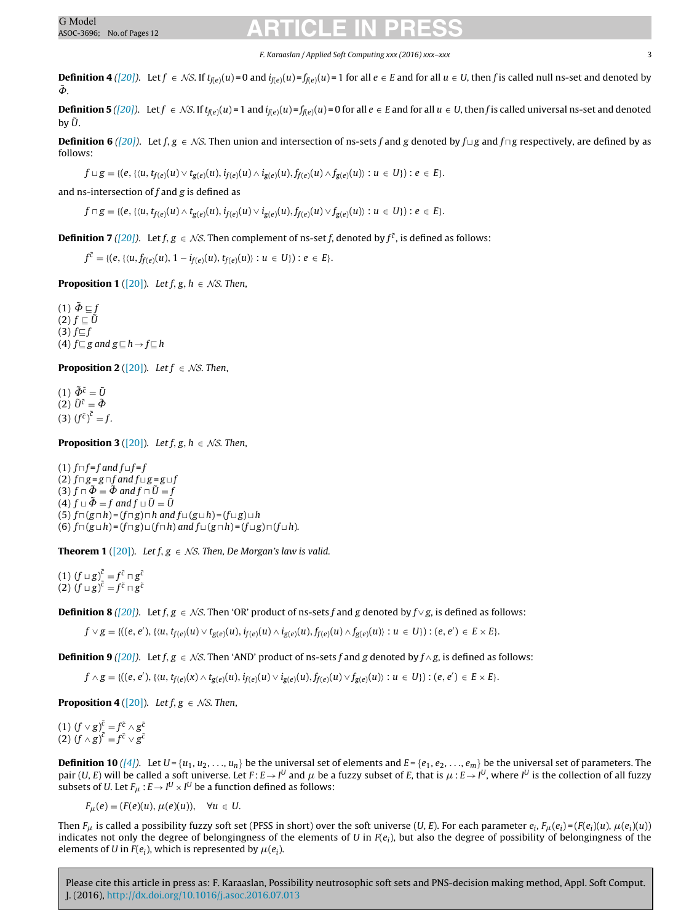F. Karaaslan / Applied Soft Computing xxx (2016) xxx–xxx 3

**Definition 4** [\(\[20\]\)](#page-11-0). Let  $f \in NS$ . If  $t_{f(\varepsilon)}(u) = 0$  and  $i_{f(\varepsilon)}(u) = f_{f(\varepsilon)}(u) = 1$  for all  $e \in E$  and for all  $u \in U$ , then f is called null ns-set and denoted by  $\tilde{\Phi}$ .

**Definition 5** [\(\[20\]\)](#page-11-0). Let  $f \text{ } \in N$ S. If  $t_{\text{ff}}(u) = 1$  and  $i_{\text{ff}}(u) = f_{\text{ff}}(u) = 0$  for all  $e \in E$  and for all  $u \in U$ , then f is called universal ns-set and denoted by  $\tilde{U}$ .

**Definition 6** ([\[20\]\)](#page-11-0). Let  $f, g \in NS$ . Then union and intersection of ns-sets f and g denoted by  $f \sqcup g$  and  $f \sqcap g$  respectively, are defined by as follows:

 $f \sqcup g = \{(e, \{(u, t_{f(e)}(u) \vee t_{g(e)}(u), i_{f(e)}(u) \wedge i_{g(e)}(u), f_{f(e)}(u) \wedge f_{g(e)}(u)): u \in U\}): e \in E\}.$ 

and ns-intersection of  $f$  and  $g$  is defined as

 $f \sqcap g = \{(e, \{(u, t_{f(e)}(u) \land t_{g(e)}(u), i_{f(e)}(u) \lor i_{g(e)}(u), f_{f(e)}(u) \lor f_{g(e)}(u)) : u \in U\}) : e \in E\}.$ 

**Definition <b>7** [\(\[20\]\)](#page-11-0). Let  $f, g \in \mathcal{NS}$ . Then complement of ns-set f, denoted by  $f^{\tilde{c}}$ , is defined as follows:

 $f^{\tilde{c}} = \{(e, \{(u, f_{f(e)}(u), 1 - i_{f(e)}(u), t_{f(e)}(u)) : u \in U\}) : e \in E\}.$ 

**Proposition 1** ([\[20\]\).](#page-11-0) Let  $f, g, h \in \mathcal{NS}$ . Then,

 $(1) \tilde{\Phi} \sqsubseteq f$  $(2)$   $f \sqsubseteq \tilde{U}$  $(3)$   $f \sqsubseteq f$ (4)  $f \sqsubseteq g$  and  $g \sqsubseteq h \rightarrow f \sqsubseteq h$ 

**Proposition 2** ([\[20\]\).](#page-11-0) Let  $f \in \mathcal{NS}$ . Then,

(1)  $\tilde{\Phi}^{\tilde{c}} = \tilde{U}$ (2)  $\tilde{U}^{\tilde{c}} = \tilde{\Phi}$ (3)  $(f^{\tilde{c}})^{\tilde{c}} = f$ .

**Proposition 3** ([\[20\]\).](#page-11-0) Let  $f$ ,  $g$ ,  $h \in \mathcal{NS}$ . Then,

(1)  $f \sqcap f = f$  and  $f \sqcup f = f$ (2)  $f \sqcap g = g \sqcap f$  and  $f \sqcup g = g \sqcup f$ (3)  $f \sqcap \tilde{\Phi} = \tilde{\Phi}$  and  $f \sqcap \tilde{U} = f$ (4)  $f \sqcup \tilde{\Phi} = f$  and  $f \sqcup \tilde{U} = \tilde{U}$ (5)  $f \sqcap (g \sqcap h) = (f \sqcap g) \sqcap h$  and  $f \sqcup (g \sqcup h) = (f \sqcup g) \sqcup h$ (6)  $f \sqcap (g \sqcup h) = (f \sqcap g) \sqcup (f \sqcap h)$  and  $f \sqcup (g \sqcap h) = (f \sqcup g) \sqcap (f \sqcup h)$ .

**Theorem 1** ([\[20\]\).](#page-11-0) Let  $f, g \in \mathcal{NS}$ . Then, De Morgan's law is valid.

(1)  $(f \sqcup g)^{\tilde{c}} = f^{\tilde{c}} \sqcap g^{\tilde{c}}$ (2)  $(f \sqcup g)^{\tilde{c}} = f^{\tilde{c}} \sqcap g^{\tilde{c}}$ 

**Definition <b>8** [\(\[20\]\)](#page-11-0). Let  $f, g \in \mathcal{N}S$ . Then 'OR' product of ns-sets f and g denoted by  $f \vee g$ , is defined as follows:

 $f \vee g = \{((e, e'), \{ (u, t_{f(e)}(u) \vee t_{g(e)}(u), i_{f(e)}(u) \wedge i_{g(e)}(u), f_{f(e)}(u) \wedge f_{g(e)}(u)) : u \in U \} ) : (e, e') \in E \times E \}.$ 

**Definition 9** [\(\[20\]\)](#page-11-0). Let  $f, g \in \mathcal{N}S$ . Then 'AND' product of ns-sets f and g denoted by  $f \wedge g$ , is defined as follows:

 $f \wedge g = \{((e, e'), \{(u, t_{f(e)}(x) \wedge t_{g(e)}(u), i_{f(e)}(u) \vee i_{g(e)}(u), f_{f(e)}(u) \vee f_{g(e)}(u)): u \in U\}) : (e, e') \in E \times E\}.$ 

**Proposition 4** ([\[20\]\).](#page-11-0) Let  $f, g \in \mathcal{NS}$ . Then,

(1)  $(f \vee g)^{\tilde{c}} = f^{\tilde{c}} \wedge g^{\tilde{c}}$ (2)  $(f \wedge g)^{\tilde{c}} = f^{\tilde{c}} \vee g^{\tilde{c}}$ 

**Definition 10** [\(\[4\]\)](#page-11-0). Let  $U = \{u_1, u_2, \ldots, u_n\}$  be the universal set of elements and  $E = \{e_1, e_2, \ldots, e_m\}$  be the universal set of parameters. The pair (U, E) will be called a soft universe. Let  $F: E \to I^U$  and  $\mu$  be a fuzzy subset of E, that is  $\mu: E \to I^U$ , where  $I^U$  is the collection of all fuzzy subsets of U. Let  $F_\mu : E \to I^U \times I^U$  be a function defined as follows:

 $F_{\mu}(e) = (F(e)(u), \mu(e)(u)), \quad \forall u \in U.$ 

Then  $F_u$  is called a possibility fuzzy soft set (PFSS in short) over the soft universe (U, E). For each parameter  $e_i$ ,  $F_u(e_i) = (F(e_i)(u), \mu(e_i)(u))$ indicates not only the degree of belongingness of the elements of U in  $F(e_i)$ , but also the degree of possibility of belongingness of the elements of U in  $F(e_i)$ , which is represented by  $\mu(e_i)$ .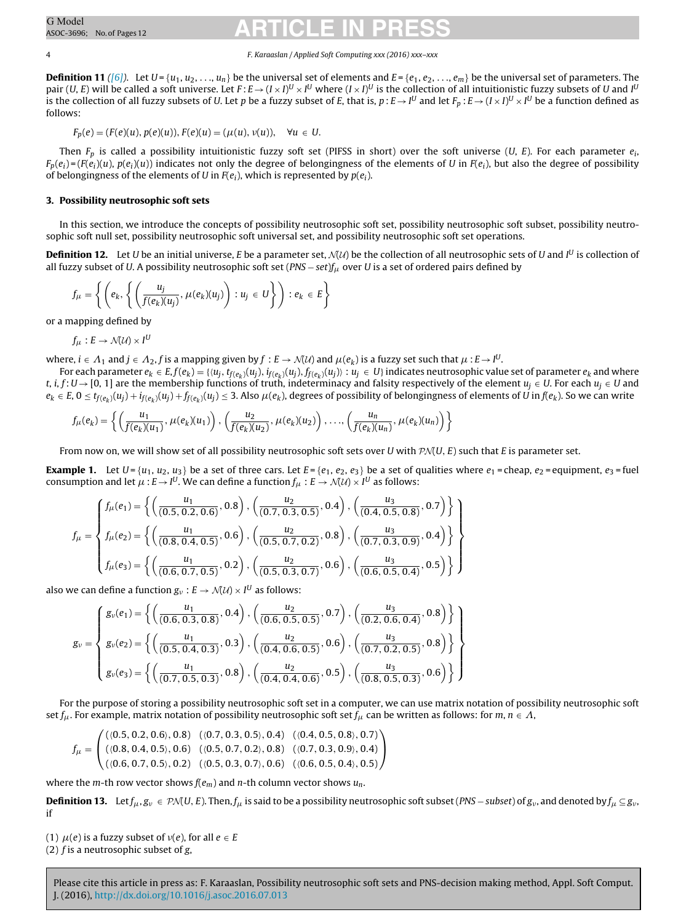### 4 F. Karaaslan / Applied Soft Computing xxx (2016) xxx–xxx

<span id="page-3-0"></span>**Definition 11** [\(\[6\]\)](#page-11-0). Let  $U = \{u_1, u_2, \ldots, u_n\}$  be the universal set of elements and  $E = \{e_1, e_2, \ldots, e_m\}$  be the universal set of parameters. The pair (U, E) will be called a soft universe. Let  $F:E\!\rightarrow\! (I\!\times\! I)^U\!\times\! I^U$  where  $(I\!\times\! I)^U$  is the collection of all intuitionistic fuzzy subsets of U and I<sup>L</sup> is the collection of all fuzzy subsets of U. Let  $p$  be a fuzzy subset of E, that is,  $p$  : E  $\rightarrow$  [ $^U$  and let  $F_p$  : E  $\rightarrow$  (I  $\times$  I) $^U$   $\times$  I $^U$  be a function defined as follows:

$$
F_p(e) = (F(e)(u), p(e)(u)), F(e)(u) = (\mu(u), \nu(u)), \quad \forall u \in U.
$$

Then  $F_p$  is called a possibility intuitionistic fuzzy soft set (PIFSS in short) over the soft universe (U, E). For each parameter  $e_i$ ,  $F_p(e_i) = (F(e_i)(u), p(e_i)(u))$  indicates not only the degree of belongingness of the elements of U in  $F(e_i)$ , but also the degree of possibility of belongingness of the elements of U in  $F(e_i)$ , which is represented by  $p(e_i)$ .

### **3. Possibility neutrosophic soft sets**

In this section, we introduce the concepts of possibility neutrosophic soft set, possibility neutrosophic soft subset, possibility neutrosophic soft null set, possibility neutrosophic soft universal set, and possibility neutrosophic soft set operations.

**Definition 12.** Let U be an initial universe, E be a parameter set, MU) be the collection of all neutrosophic sets of U and I<sup>U</sup> is collection of all fuzzy subset of U. A possibility neutrosophic soft set ( $PNS - set$ ) $\int \mu$  over U is a set of ordered pairs defined by

$$
f_{\mu} = \left\{ \left( e_k, \left\{ \left( \frac{u_j}{f(e_k)(u_j)}, \mu(e_k)(u_j) \right) : u_j \in U \right\} \right) : e_k \in E \right\}
$$

or a mapping defined by

$$
f_{\mu}: E \to \mathcal{N}(\mathcal{U}) \times I^U
$$

where,  $i\in A_1$  and  $j\in A_2$ ,  $f$  is a mapping given by  $f:E\to\mathcal{N}(\mathcal{U})$  and  $\mu(e_k)$  is a fuzzy set such that  $\mu$  :  $E\to I^U$ .

For each parameter  $e_k \in E$ ,  $f(e_k) = \{ \langle u_j, t_{f(e_k)}(u_j), i_{f(e_k)}(u_j), f_{f(e_k)}(u_j) \rangle : u_j \in U \}$  indicates neutrosophic value set of parameter  $e_k$  and where t, i, f: U  $\rightarrow$  [0, 1] are the membership functions of truth, indeterminacy and falsity respectively of the element  $u_i \in U$ . For each  $u_i \in U$  and  $e_k \in E$ ,  $0 \le t_{f(e_k)}(u_j) + t_{f(e_k)}(u_j) + f_{f(e_k)}(u_j) \le 3$ . Also  $\mu(e_k)$ , degrees of possibility of belongingness of elements of U in  $f(e_k)$ . So we can write

$$
f_{\mu}(e_k) = \left\{ \left( \frac{u_1}{f(e_k)(u_1)}, \mu(e_k)(u_1) \right), \left( \frac{u_2}{f(e_k)(u_2)}, \mu(e_k)(u_2) \right), \ldots, \left( \frac{u_n}{f(e_k)(u_n)}, \mu(e_k)(u_n) \right) \right\}
$$

From now on, we will show set of all possibility neutrosophic soft sets over U with  $P\mathcal{N}(U, E)$  such that E is parameter set.

**Example 1.** Let  $U = \{u_1, u_2, u_3\}$  be a set of three cars. Let  $E = \{e_1, e_2, e_3\}$  be a set of qualities where  $e_1$  = cheap,  $e_2$  = equipment,  $e_3$  = fuel consumption and let  $\mu$  :  $E$   $\!\to$  I $^U$ . We can define a function  $f_\mu : E \to \mathcal{N}(\mathcal{U}) \times I^U$  as follows:

$$
f_{\mu} = \begin{cases} f_{\mu}(e_1) = \left\{ \left( \frac{u_1}{(0.5, 0.2, 0.6)}, 0.8 \right), \left( \frac{u_2}{(0.7, 0.3, 0.5)}, 0.4 \right), \left( \frac{u_3}{(0.4, 0.5, 0.8)}, 0.7 \right) \right\} \\ f_{\mu}(e_2) = \left\{ \left( \frac{u_1}{(0.8, 0.4, 0.5)}, 0.6 \right), \left( \frac{u_2}{(0.5, 0.7, 0.2)}, 0.8 \right), \left( \frac{u_3}{(0.7, 0.3, 0.9)}, 0.4 \right) \right\} \\ f_{\mu}(e_3) = \left\{ \left( \frac{u_1}{(0.6, 0.7, 0.5)}, 0.2 \right), \left( \frac{u_2}{(0.5, 0.3, 0.7)}, 0.6 \right), \left( \frac{u_3}{(0.6, 0.5, 0.4)}, 0.5 \right) \right\} \end{cases}
$$

also we can define a function  $g_\nu:E\to\mathcal{N}(\mathcal{U})\times I^U$  as follows:

$$
g_{\nu} = \begin{cases} g_{\nu}(e_1) = \left\{ \left( \frac{u_1}{(0.6, 0.3, 0.8)}, 0.4 \right), \left( \frac{u_2}{(0.6, 0.5, 0.5)}, 0.7 \right), \left( \frac{u_3}{(0.2, 0.6, 0.4)}, 0.8 \right) \right\} \\ g_{\nu}(e_2) = \left\{ \left( \frac{u_1}{(0.5, 0.4, 0.3)}, 0.3 \right), \left( \frac{u_2}{(0.4, 0.6, 0.5)}, 0.6 \right), \left( \frac{u_3}{(0.7, 0.2, 0.5)}, 0.8 \right) \right\} \\ g_{\nu}(e_3) = \left\{ \left( \frac{u_1}{(0.7, 0.5, 0.3)}, 0.8 \right), \left( \frac{u_2}{(0.4, 0.4, 0.6)}, 0.5 \right), \left( \frac{u_3}{(0.8, 0.5, 0.3)}, 0.6 \right) \right\} \end{cases}
$$

For the purpose of storing a possibility neutrosophic soft set in a computer, we can use matrix notation of possibility neutrosophic soft set  $f_\mu.$  For example, matrix notation of possibility neutrosophic soft set  $f_\mu$  can be written as follows: for  $m,$   $n\in A,$ 

$$
f_{\mu} = \begin{pmatrix} ((0.5, 0.2, 0.6), 0.8) & ((0.7, 0.3, 0.5), 0.4) & ((0.4, 0.5, 0.8), 0.7) \\ ((0.8, 0.4, 0.5), 0.6) & ((0.5, 0.7, 0.2), 0.8) & ((0.7, 0.3, 0.9), 0.4) \\ ((0.6, 0.7, 0.5), 0.2) & ((0.5, 0.3, 0.7), 0.6) & ((0.6, 0.5, 0.4), 0.5) \end{pmatrix}
$$

where the m-th row vector shows  $f(e_m)$  and n-th column vector shows  $u_n$ .

**Definition 13.** Let  $f_\mu$ ,  $g_\nu \in \mathcal{P}N(U,E)$ . Then,  $f_\mu$  is said to be a possibility neutrosophic soft subset (PNS – subset) of  $g_\nu$ , and denoted by  $f_\mu \subseteq g_\nu$ , if

(1)  $\mu$ (e) is a fuzzy subset of  $\nu$ (e), for all  $e \in E$ 

(2)  $f$  is a neutrosophic subset of  $g$ ,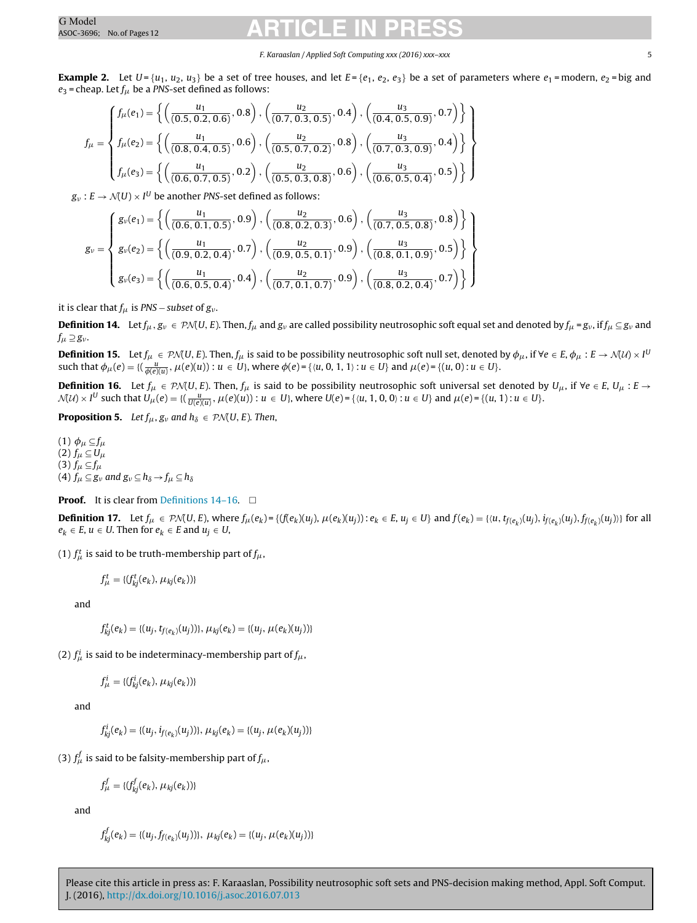### F. Karaaslan / Applied Soft Computing xxx (2016) xxx–xxx 5

**Example 2.** Let  $U = \{u_1, u_2, u_3\}$  be a set of tree houses, and let  $E = \{e_1, e_2, e_3\}$  be a set of parameters where  $e_1$  = modern,  $e_2$  = big and  $e_3$  = cheap. Let  $f_\mu$  be a PNS-set defined as follows:

$$
f_{\mu} = \begin{cases} f_{\mu}(e_1) = \left\{ \left( \frac{u_1}{(0.5, 0.2, 0.6)}, 0.8 \right), \left( \frac{u_2}{(0.7, 0.3, 0.5)}, 0.4 \right), \left( \frac{u_3}{(0.4, 0.5, 0.9)}, 0.7 \right) \right\} \\ f_{\mu}(e_2) = \left\{ \left( \frac{u_1}{(0.8, 0.4, 0.5)}, 0.6 \right), \left( \frac{u_2}{(0.5, 0.7, 0.2)}, 0.8 \right), \left( \frac{u_3}{(0.7, 0.3, 0.9)}, 0.4 \right) \right\} \\ f_{\mu}(e_3) = \left\{ \left( \frac{u_1}{(0.6, 0.7, 0.5)}, 0.2 \right), \left( \frac{u_2}{(0.5, 0.3, 0.8)}, 0.6 \right), \left( \frac{u_3}{(0.6, 0.5, 0.4)}, 0.5 \right) \right\} \end{cases}
$$

 $g_\nu:E\to\mathcal{N}(U)\times I^U$  be another PNS-set defined as follows:

$$
g_{\nu} = \left\{ \begin{matrix} g_{\nu}(e_1) = \left\{ \left( \frac{u_1}{(0.6, 0.1, 0.5)}, 0.9 \right), \left( \frac{u_2}{(0.8, 0.2, 0.3)}, 0.6 \right), \left( \frac{u_3}{(0.7, 0.5, 0.8)}, 0.8 \right) \right\} \\ g_{\nu}(e_2) = \left\{ \left( \frac{u_1}{(0.9, 0.2, 0.4)}, 0.7 \right), \left( \frac{u_2}{(0.9, 0.5, 0.1)}, 0.9 \right), \left( \frac{u_3}{(0.8, 0.1, 0.9)}, 0.5 \right) \right\} \\ g_{\nu}(e_3) = \left\{ \left( \frac{u_1}{(0.6, 0.5, 0.4)}, 0.4 \right), \left( \frac{u_2}{(0.7, 0.1, 0.7)}, 0.9 \right), \left( \frac{u_3}{(0.8, 0.2, 0.4)}, 0.7 \right) \right\} \end{matrix} \right\}
$$

it is clear that  $f_{\mu}$  is PNS – subset of  $g_{\nu}$ .

**Definition 14.** Let  $f_\mu$ ,  $g_\nu \in \mathcal{PN}(U, E)$ . Then,  $f_\mu$  and  $g_\nu$  are called possibility neutrosophic soft equal set and denoted by  $f_\mu = g_\nu$ , if  $f_\mu \subseteq g_\nu$  and  $f_\mu \supseteq g_\nu$ .

**Definition 15.** Let  $f_\mu \in \mathcal{P}\mathcal{N}(U,E)$ . Then,  $f_\mu$  is said to be possibility neutrosophic soft null set, denoted by  $\phi_\mu$ , if  $\forall e \in E$ ,  $\phi_\mu : E \to \mathcal{N}(U) \times I^U$ such that  $\phi_{\mu}(e) = \{(\frac{u}{\phi(e)(u)}, \mu(e)(u)): u \in U\}$ , where  $\phi(e) = \{(u, 0, 1, 1): u \in U\}$  and  $\mu(e) = \{(u, 0): u \in U\}$ .

**Definition 16.** Let  $f_\mu$  ∈ PM(U, E). Then,  $f_\mu$  is said to be possibility neutrosophic soft universal set denoted by  $U_\mu$ , if  $\forall e \in E$ ,  $U_\mu$ : E →  $\mathcal{N}(\mathcal{U})\times I^U$  such that  $U_\mu(e)=\{(\frac{u}{U(e)(u)},\mu(e)(u)):u\in U\}$ , where  $U(e)=\{u,1,0,0):u\in U\}$  and  $\mu(e)=\{(u,1):u\in U\}$ .

**Proposition 5.** Let  $f_{\mu}$ ,  $g_{\nu}$  and  $h_{\delta} \in \mathcal{PM}(U, E)$ . Then,

(1)  $\phi_\mu \subseteq f_\mu$ (2)  $f_\mu \subseteq U_\mu$ (3)  $f_\mu \subseteq f_\mu$ (4)  $f_\mu \subseteq g_\nu$  and  $g_\nu \subseteq h_\delta \to f_\mu \subseteq h_\delta$ 

**Proof.** It is clear from Definitions  $14-16$ .  $\Box$ 

**Definition 17.** Let  $f_\mu \in \mathcal{PN}(U, E)$ , where  $f_\mu(e_k) = \{ (f(e_k)(u_j), \mu(e_k)(u_j)) : e_k \in E, u_j \in U \}$  and  $f(e_k) = \{ \langle u, t_{f(e_k)}(u_j), t_{f(e_k)}(u_j) \rangle \}$  for all  $e_k \in E$ ,  $u \in U$ . Then for  $e_k \in E$  and  $u_i \in U$ ,

(1)  $f^t_\mu$  is said to be truth-membership part of  $f_\mu$ ,

$$
f_{\mu}^{t} = \{ (f_{kj}^{t}(e_k), \mu_{kj}(e_k)) \}
$$

and

$$
f_{kj}^t(e_k) = \{(u_j, t_{f(e_k)}(u_j))\}, \mu_{kj}(e_k) = \{(u_j, \mu(e_k)(u_j))\}
$$

(2)  $f^i_\mu$  is said to be indeterminacy-membership part of  $f_\mu$ ,

$$
f^i_\mu = \{ (f^i_{kj}(e_k), \mu_{kj}(e_k)) \}
$$

and

 $f_{kj}^i(e_k) = \{(u_j, i_{f(e_k)}(u_j))\}, \mu_{kj}(e_k) = \{(u_j, \mu(e_k)(u_j))\}$ 

(3)  $f^f_\mu$  is said to be falsity-membership part of  $f_\mu$ ,

$$
f_{\mu}^{f} = \{ (f_{kj}^{f}(e_k), \mu_{kj}(e_k)) \}
$$

and

$$
f_{kj}^f(e_k) = \{(u_j, f_{f(e_k)}(u_j))\}, \ \mu_{kj}(e_k) = \{(u_j, \mu(e_k)(u_j))\}
$$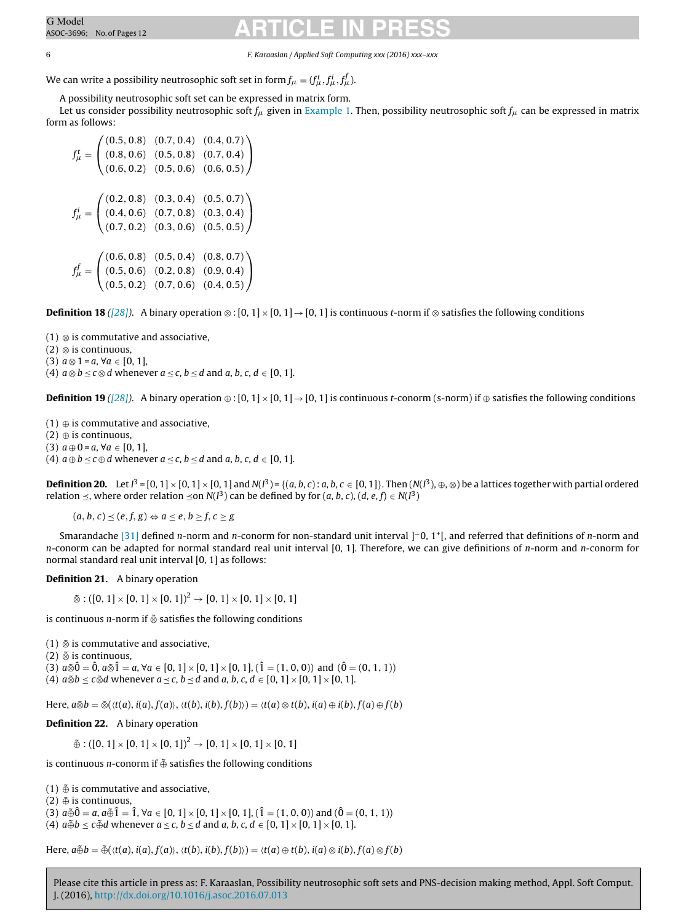6 F. Karaaslan / Applied Soft Computing xxx (2016) xxx–xxx

We can write a possibility neutrosophic soft set in form  $f_{\mu} = (f_{\mu}^t, f_{\mu}^i, f_{\mu}^f)$ .

A possibility neutrosophic soft set can be expressed in matrix form.

Let us consider possibility neutrosophic soft  $f_\mu$  given in [Example](#page-3-0) [1.](#page-3-0) Then, possibility neutrosophic soft  $f_\mu$  can be expressed in matrix form as follows:

 $f^t_\mu =$  $\sqrt{2}$  $\mathcal{L}$  $(0.5, 0.8)$   $(0.7, 0.4)$   $(0.4, 0.7)$  $(0.8, 0.6)$   $(0.5, 0.8)$   $(0.7, 0.4)$  $(0.6, 0.2)$   $(0.5, 0.6)$   $(0.6, 0.5)$  $\setminus$  $\overline{I}$  $f^i_\mu =$  $\sqrt{2}$  $\mathcal{L}$  $(0.2, 0.8)$   $(0.3, 0.4)$   $(0.5, 0.7)$  $(0.4, 0.6)$   $(0.7, 0.8)$   $(0.3, 0.4)$  $(0.7, 0.2)$   $(0.3, 0.6)$   $(0.5, 0.5)$  $\setminus$  $\overline{I}$  $f^f_\mu =$  $\sqrt{2}$  $\mathcal{L}$  $(0.6, 0.8)$   $(0.5, 0.4)$   $(0.8, 0.7)$  $(0.5, 0.6)$   $(0.2, 0.8)$   $(0.9, 0.4)$  $(0.5, 0.2)$   $(0.7, 0.6)$   $(0.4, 0.5)$ ⎞  $\overline{I}$ 

**Definition 18** [\(\[28\]\)](#page-11-0). A binary operation ⊗ : [0, 1] × [0, 1] → [0, 1] is continuous t-norm if ⊗ satisfies the following conditions

(1) ⊗ is commutative and associative,

(2) ⊗ is continuous,

(3)  $a \otimes 1 = a, \forall a \in [0, 1]$ ,

(4)  $a \otimes b \leq c \otimes d$  whenever  $a \leq c$ ,  $b \leq d$  and  $a, b, c, d \in [0, 1]$ .

**Definition 19** [\(\[28\]\)](#page-11-0). A binary operation  $\oplus$  : [0, 1] × [0, 1] → [0, 1] is continuous t-conorm (s-norm) if  $\oplus$  satisfies the following conditions

 $(1) \oplus$  is commutative and associative,

 $(2) \oplus$  is continuous,

(3)  $a \oplus 0 = a, \forall a \in [0, 1],$ 

(4)  $a \oplus b \leq c \oplus d$  whenever  $a \leq c$ ,  $b \leq d$  and  $a, b, c, d \in [0, 1]$ .

**Definition 20.** Let I<sup>3</sup> = [0, 1] × [0, 1] × [0, 1] and N(I<sup>3</sup>) = {(a, b, c): a, b, c ∈ [0, 1]}. Then (N(I<sup>3</sup>), ⊕, ⊗) be a lattices together with partial ordered relation  $\preceq$ , where order relation  $\preceq$ on N(I $^3$ ) can be defined by for (a, b, c), (d, e, f)  $\in$  N(I $^3$ )

 $(a, b, c) \prec (e, f, g) \Leftrightarrow a \prec e, b \succ f, c \succ g$ 

Smarandache [\[31\]](#page-11-0) defined n-norm and n-conorm for non-standard unit interval ]<sup>−</sup>0, 1<sup>+</sup>[, and referred that definitions of n-norm and  $n$ -conorm can be adapted for normal standard real unit interval [0, 1]. Therefore, we can give definitions of  $n$ -norm and  $n$ -conorm for normal standard real unit interval [0, 1] as follows:

**Definition 21.** A binary operation

 $\tilde{\otimes}$  : ([0, 1] × [0, 1] × [0, 1])<sup>2</sup> → [0, 1] × [0, 1] × [0, 1]

is continuous n-norm if ⊗˜ satisfies the following conditions

(1) ⊗˜ is commutative and associative,

(2)  $\tilde{\otimes}$  is continuous,

(3)  $a\tilde{\otimes} \hat{0} = \hat{0}$ ,  $a\tilde{\otimes} \hat{1} = a$ ,  $\forall a \in [0, 1] \times [0, 1] \times [0, 1]$ ,  $(\hat{1} = (1, 0, 0))$  and  $(\hat{0} = (0, 1, 1))$ (4)  $a\&b \leq c\&d$  whenever  $a \leq c$ ,  $b \leq d$  and  $a, b, c, d \in [0, 1] \times [0, 1] \times [0, 1]$ .

Here,  $a\tilde{\otimes}b = \tilde{\otimes}(\langle t(a), i(a), f(a) \rangle, \langle t(b), i(b), f(b) \rangle) = \langle t(a) \otimes t(b), i(a) \oplus i(b), f(a) \oplus f(b) \rangle$ 

**Definition 22.** A binary operation

 $\tilde{\oplus}$  : ([0, 1] × [0, 1] × [0, 1])<sup>2</sup> → [0, 1] × [0, 1] × [0, 1]

is continuous *n*-conorm if  $\tilde{\oplus}$  satisfies the following conditions

(1)  $\tilde{\oplus}$  is commutative and associative,

 $(2) \oplus$  is continuous,

(3)  $a\tilde{\oplus}\tilde{0} = a$ ,  $a\tilde{\oplus}\tilde{1} = \tilde{1}$ ,  $\forall a \in [0, 1] \times [0, 1] \times [0, 1]$ ,  $(\tilde{1} = (1, 0, 0))$  and  $(\tilde{0} = (0, 1, 1))$ (4)  $a \oplus b \leq c \oplus d$  whenever  $a \leq c$ ,  $b \leq d$  and  $a, b, c, d \in [0, 1] \times [0, 1] \times [0, 1]$ .

Here,  $a\tilde{\oplus}b = \tilde{\oplus}(\langle t(a), i(a), f(a) \rangle, \langle t(b), i(b), f(b) \rangle) = \langle t(a) \oplus t(b), i(a) \otimes i(b), f(a) \otimes f(b) \rangle$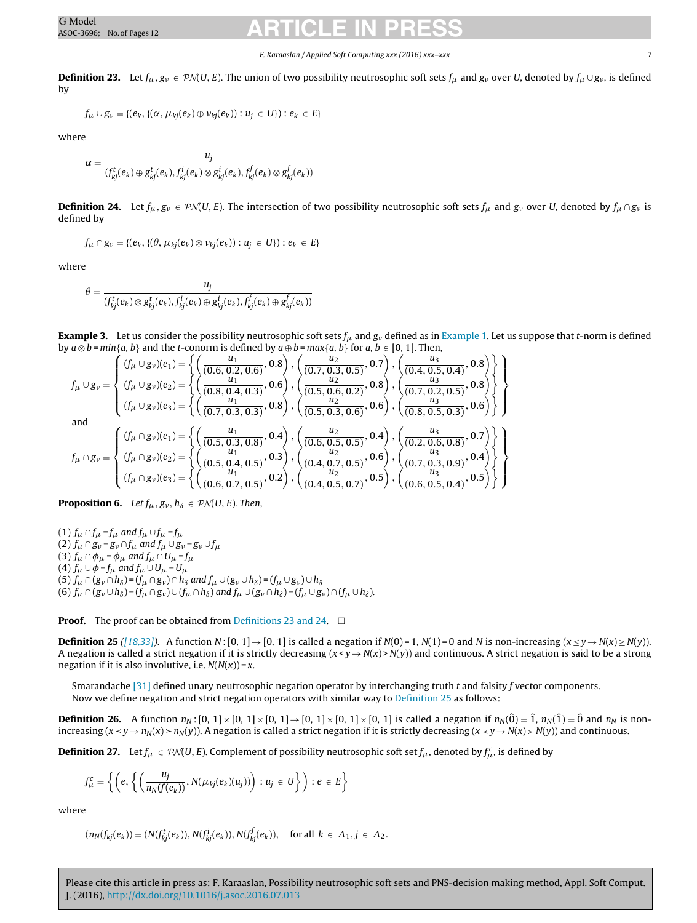#### F. Karaaslan / Applied Soft Computing xxx (2016) xxx–xxx 7

<span id="page-6-0"></span>**Definition 23.** Let  $f_\mu$ ,  $g_\nu \in \mathcal{PM}(U, E)$ . The union of two possibility neutrosophic soft sets  $f_\mu$  and  $g_\nu$  over U, denoted by  $f_\mu \cup g_\nu$ , is defined by

$$
f_{\mu} \cup g_{\nu} = \{ (e_k, \{ (\alpha, \mu_{kj}(e_k) \oplus \nu_{kj}(e_k)) : u_j \in U \} ) : e_k \in E \}
$$

where

$$
\alpha = \frac{u_j}{(f_{kj}^t(e_k) \oplus g_{kj}^t(e_k),f_{kj}^i(e_k) \otimes g_{kj}^i(e_k),f_{kj}^f(e_k) \otimes g_{kj}^f(e_k))}
$$

**Definition 24.** Let  $f_\mu, g_\nu \in \mathcal{P} \mathcal{N}(U, E)$ . The intersection of two possibility neutrosophic soft sets  $f_\mu$  and  $g_\nu$  over U, denoted by  $f_\mu \cap g_\nu$  is defined by

$$
f_{\mu} \cap g_{\nu} = \{ (e_k, \{ (\theta, \mu_{kj}(e_k) \otimes \nu_{kj}(e_k)) : u_j \in U \} ) : e_k \in E \}
$$

where

$$
\theta = \frac{u_j}{(f_{kj}^t(e_k) \otimes g_{kj}^t(e_k), f_{kj}^i(e_k) \oplus g_{kj}^i(e_k), f_{kj}^f(e_k) \oplus g_{kj}^f(e_k))}
$$

**[Example](#page-3-0) 3.** Let us consider the possibility neutrosophic soft sets  $f_\mu$  and  $g_\nu$  defined as in Example [1.](#page-3-0) Let us suppose that *t*-norm is defined by  $a \otimes b = min\{a, b\}$  and the *t*-conorm is defined by  $a \oplus b = max\{a, b\}$  for  $a, b \in [0, 1]$ . Then,

$$
f_{\mu} \cup g_{\nu} = \begin{cases} (f_{\mu} \cup g_{\nu})(e_1) = \left\{ \left( \frac{u_1}{(0.6, 0.2, 0.6)}, 0.8 \right), \left( \frac{u_2}{(0.7, 0.3, 0.5)}, 0.7 \right), \left( \frac{u_3}{(0.4, 0.5, 0.4)}, 0.8 \right) \right\} \\ (f_{\mu} \cup g_{\nu})(e_2) = \left\{ \left( \frac{u_1}{(0.8, 0.4, 0.3)}, 0.6 \right), \left( \frac{u_2}{(0.5, 0.6, 0.2)}, 0.8 \right), \left( \frac{u_3}{(0.7, 0.2, 0.5)}, 0.8 \right) \right\} \\ (f_{\mu} \cup g_{\nu})(e_3) = \left\{ \left( \frac{u_1}{(0.7, 0.3, 0.3)}, 0.8 \right), \left( \frac{u_2}{(0.5, 0.6, 0.2)}, 0.6 \right), \left( \frac{u_3}{(0.8, 0.5, 0.3)}, 0.6 \right) \right\} \end{cases}
$$
  
and  

$$
f_{\mu} \cap g_{\nu} = \begin{cases} (f_{\mu} \cap g_{\nu})(e_1) = \left\{ \left( \frac{u_1}{(0.5, 0.3, 0.8)}, 0.4 \right), \left( \frac{u_2}{(0.6, 0.5, 0.5)}, 0.4 \right), \left( \frac{u_3}{(0.2, 0.6, 0.8)}, 0.7 \right) \right\} \\ (f_{\mu} \cap g_{\nu})(e_2) = \left\{ \left( \frac{u_1}{(0.5, 0.4, 0.5)}, 0.3 \right), \left( \frac{u_2}{(0.4, 0.7, 0.5)}, 0.6 \right), \left( \frac{u_3}{(0.7, 0.3, 0.9)}, 0.4 \right) \right\} \\ (f_{\mu} \cap g_{\nu})(e_3) = \left\{ \left( \frac{u_1}{(0.6, 0.7, 0.5)}, 0.2 \right), \left( \frac{u_2}{(0.4, 0.5, 0.7)}, 0.5 \right), 0.5 \right
$$

**Proposition 6.** Let  $f_{\mu}$ ,  $g_{\nu}$ ,  $h_{\delta} \in \mathcal{P}N(U, E)$ . Then,

(1)  $f_\mu \cap f_\mu = f_\mu$  and  $f_\mu \cup f_\mu = f_\mu$ (2)  $f_\mu \cap g_\nu = g_\nu \cap f_\mu$  and  $f_\mu \cup g_\nu = g_\nu \cup f_\mu$ (3)  $f_\mu \cap \phi_\mu = \phi_\mu$  and  $f_\mu \cap U_\mu = f_\mu$ (4)  $f_\mu \cup \phi = f_\mu$  and  $f_\mu \cup U_\mu = U_\mu$ (5)  $f_\mu \cap (g_\nu \cap h_\delta) = (f_\mu \cap g_\nu) \cap h_\delta$  and  $f_\mu \cup (g_\nu \cup h_\delta) = (f_\mu \cup g_\nu) \cup h_\delta$ (6)  $f_\mu \cap (g_v \cup h_\delta) = (f_\mu \cap g_v) \cup (f_\mu \cap h_\delta)$  and  $f_\mu \cup (g_v \cap h_\delta) = (f_\mu \cup g_v) \cap (f_\mu \cup h_\delta).$ 

**Proof.** The proof can be obtained from Definitions 23 and 24.  $\Box$ 

**Definition 25** ([\[18,33\]\)](#page-11-0). A function N: [0, 1]  $\rightarrow$  [0, 1] is called a negation if N(0) = 1, N(1) = 0 and N is non-increasing ( $x \le y \rightarrow N(x) \ge N(y)$ ). A negation is called a strict negation if it is strictly decreasing  $(x < y \rightarrow N(x) > N(y))$  and continuous. A strict negation is said to be a strong negation if it is also involutive, i.e.  $N(N(x)) = x$ .

Smarandache [\[31\]](#page-11-0) defined unary neutrosophic negation operator by interchanging truth t and falsity f vector components. Now we define negation and strict negation operators with similar way to Definition 25 as follows:

**Definition 26.** A function  $n_N$ :  $[0, 1] \times [0, 1] \times [0, 1] \times [0, 1] \times [0, 1] \times [0, 1]$  is called a negation if  $n_N(\hat{0}) = \hat{1}$ ,  $n_N(\hat{1}) = \hat{0}$  and  $n_N$  is nonincreasing  $(x \le y \to n_N(x) \ge n_N(y))$ . A negation is called a strict negation if it is strictly decreasing  $(x \lt y \to N(x) \gt N(y))$  and continuous.

**Definition 27.** Let  $f_\mu \in \mathcal{P}\mathcal{N}(U,E)$ . Complement of possibility neutrosophic soft set  $f_\mu$ , denoted by  $f_\mu^c$ , is defined by

$$
f_{\mu}^{c} = \left\{ \left(e, \left\{ \left(\frac{u_{j}}{n_{N}(f(e_{k}))}, N(\mu_{kj}(e_{k})(u_{j}))\right) : u_{j} \in U\right\} \right) : e \in E\right\}
$$

where

$$
(n_N(f_{kj}(e_k)) = (N(f_{kj}^t(e_k)), N(f_{kj}^i(e_k)), N(f_{kj}^f(e_k)), \text{ for all } k \in \Lambda_1, j \in \Lambda_2.
$$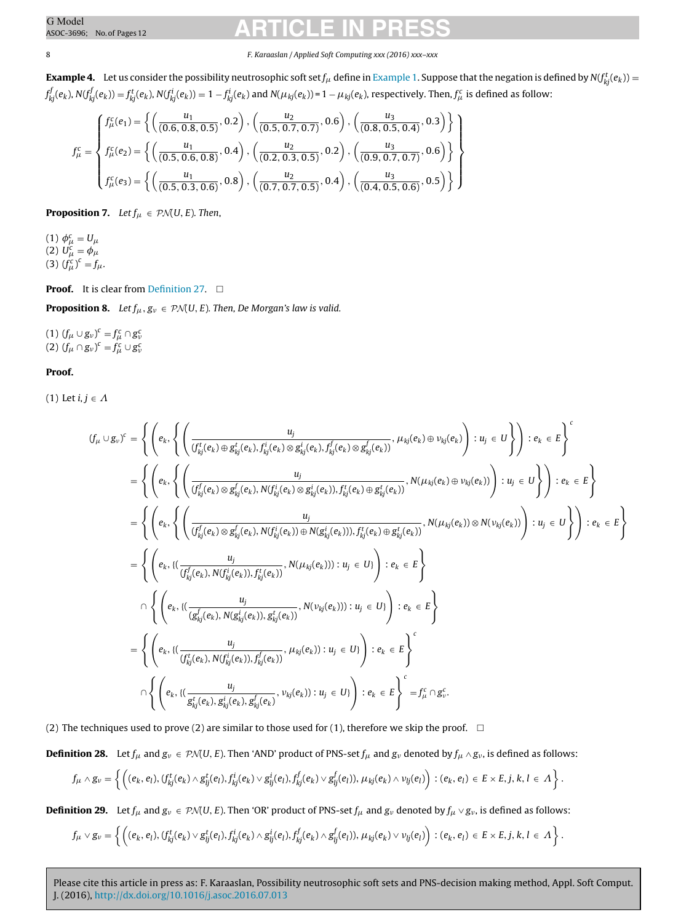#### 8 F. Karaaslan / Applied Soft Computing xxx (2016) xxx–xxx

 ${\bf Example~4.}$  ${\bf Example~4.}$  ${\bf Example~4.}$  Let us consider the possibility neutrosophic soft set  $f_\mu$  define in Example [1.](#page-3-0) Suppose that the negation is defined by  $\mathsf{N}(f_{kj}^t(e_k))$  =  $f_{kj}^f(e_k)$ , N( $f_{kj}^f(e_k))$   $=f_{kj}^t(e_k)$ , N( $f_{kj}^i(e_k))$  = 1  $-f_{kj}^i(e_k)$  and N( $\mu_{kj}(e_k)$ )=1  $-\mu_{kj}(e_k)$ , respectively. Then,  $f_{\mu}^c$  is defined as follow:

$$
f_{\mu}^{c} = \begin{cases} f_{\mu}^{c}(e_1) = \left\{ \left( \frac{u_1}{(0.6, 0.8, 0.5)}, 0.2 \right), \left( \frac{u_2}{(0.5, 0.7, 0.7)}, 0.6 \right), \left( \frac{u_3}{(0.8, 0.5, 0.4)}, 0.3 \right) \right\} \\ f_{\mu}^{c} = \begin{cases} f_{\mu}^{c}(e_2) = \left\{ \left( \frac{u_1}{(0.5, 0.6, 0.8)}, 0.4 \right), \left( \frac{u_2}{(0.2, 0.3, 0.5)}, 0.2 \right), \left( \frac{u_3}{(0.9, 0.7, 0.7)}, 0.6 \right) \right\} \\ f_{\mu}^{c}(e_3) = \left\{ \left( \frac{u_1}{(0.5, 0.3, 0.6)}, 0.8 \right), \left( \frac{u_2}{(0.7, 0.7, 0.5)}, 0.4 \right), \left( \frac{u_3}{(0.4, 0.5, 0.6)}, 0.5 \right) \right\} \end{cases}
$$

**Proposition 7.** Let  $f_{\mu} \in \mathcal{P} \mathcal{N}(U, E)$ . Then,

(1)  $\phi^c_\mu = U_\mu$ (2)  $U_{\mu}^{c} = \phi_{\mu}$ (3)  $(f_{\mu}^{c})^{c} = f_{\mu}$ .

### **Proof.** It is clear from [Definition](#page-6-0) [27.](#page-6-0)  $\Box$

**Proposition 8.** Let  $f_{\mu}, g_{\nu} \in P\mathcal{N}(U, E)$ . Then, De Morgan's law is valid.

(1)  $(f_{\mu} \cup g_{\nu})^c = f_{\mu}^c \cap g_{\nu}^c$ <br>(2)  $(f_{\mu} \cap g_{\nu})^c = f_{\mu}^c \cup g_{\nu}^c$ 

### **Proof.**

(1) Let  $i,j \in \varLambda$ 

$$
(f_{\mu} \cup g_{\nu})^c = \left\{ \left( e_k, \left\{ \left( \frac{u_j}{(f_{kj}^t(e_k) \oplus g_{kj}^t(e_k), f_{kj}^l(e_k) \otimes g_{kj}^t(e_k), f_{kj}^l(e_k) \otimes g_{kj}^f(e_k))}, \mu_{kj}(e_k) \oplus \nu_{kj}(e_k) \right) : u_j \in U \right\} \right) : e_k \in E \right\}
$$
\n
$$
= \left\{ \left( e_k, \left\{ \left( \frac{u_j}{(f_{kj}^f(e_k) \otimes g_{kj}^f(e_k), N(f_{kj}^i(e_k) \otimes g_{kj}^t(e_k)), f_{kj}^t(e_k) \oplus g_{kj}^t(e_k))}, N(\mu_{kj}(e_k) \oplus \nu_{kj}(e_k)) \right) : u_j \in U \right\} \right) : e_k \in E \right\}
$$
\n
$$
= \left\{ \left( e_k, \left\{ \left( \frac{u_j}{(f_{kj}^f(e_k) \otimes g_{kj}^f(e_k), N(f_{kj}^i(e_k)) \oplus N(g_{kj}^i(e_k))), f_{kj}^t(e_k) \oplus g_{kj}^t(e_k))}, N(\mu_{kj}(e_k)) \otimes N(\nu_{kj}(e_k)) \right) : u_j \in U \right\} \right) : e_k \in E \right\}
$$
\n
$$
= \left\{ \left( e_k, \left\{ \left( \frac{u_j}{(f_{kj}^f(e_k), N(f_{kj}^i(e_k)), f_{kj}^t(e_k))}, N(\mu_{kj}(e_k))) : u_j \in U \right) \right) : e_k \in E \right\}
$$
\n
$$
= \left\{ \left( e_k, \left\{ \left( \frac{u_j}{(g_{kj}^f(e_k), N(f_{kj}^i(e_k)), g_{kj}^t(e_k))}, N(\nu_{kj}(e_k))) : u_j \in U \right) \right) : e_k \in E \right\}
$$
\n
$$
= \left\{ \left( e_k, \left\{ \left( \frac{u_j}{(f_{kj}^f(e_k), N(f_{kj}^i(e_k)), f_{kj}^f(e_k))}, \mu_{kj}(e_k)) : u_j \in U \right) \right) : e_k \in E \right\}
$$
\n
$$
\cap \left\{ \left( e_k, \left\{ \left( \frac{u_j}{g_{kj}^
$$

(2) The techniques used to prove (2) are similar to those used for (1), therefore we skip the proof.  $\;\;\Box$ 

**Definition 28.** Let  $f_\mu$  and  $g_\nu \in \mathcal{PM}(U, E)$ . Then 'AND' product of PNS-set  $f_\mu$  and  $g_\nu$  denoted by  $f_\mu \wedge g_\nu$ , is defined as follows:

$$
f_\mu\wedge g_\nu=\left\{\left((e_k,e_l), (f_{kj}^t(e_k)\wedge g_{lj}^t(e_l),f_{kj}^i(e_k)\vee g_{lj}^i(e_l),f_{kj}^f(e_k)\vee g_{lj}^f(e_l)),\mu_{kj}(e_k)\wedge\nu_{lj}(e_l)\right): (e_k,e_l)\in E\times E, j,k,l\in\Lambda\right\}.
$$

**Definition 29.** Let  $f_\mu$  and  $g_\nu \in \mathcal{PM}(U, E)$ . Then 'OR' product of PNS-set  $f_\mu$  and  $g_\nu$  denoted by  $f_\mu \vee g_\nu$ , is defined as follows:

$$
f_\mu\vee g_\nu=\left\{\left((e_k,e_l), (f_{kj}^t(e_k)\vee g_{ij}^t(e_l),f_{kj}^i(e_k)\wedge g_{ij}^i(e_l),f_{kj}^f(e_k)\wedge g_{ij}^f(e_l)),\mu_{kj}(e_k)\vee\nu_{ij}(e_l)\right): (e_k,e_l)\in E\times E, j,k,l\in\Lambda\right\}.
$$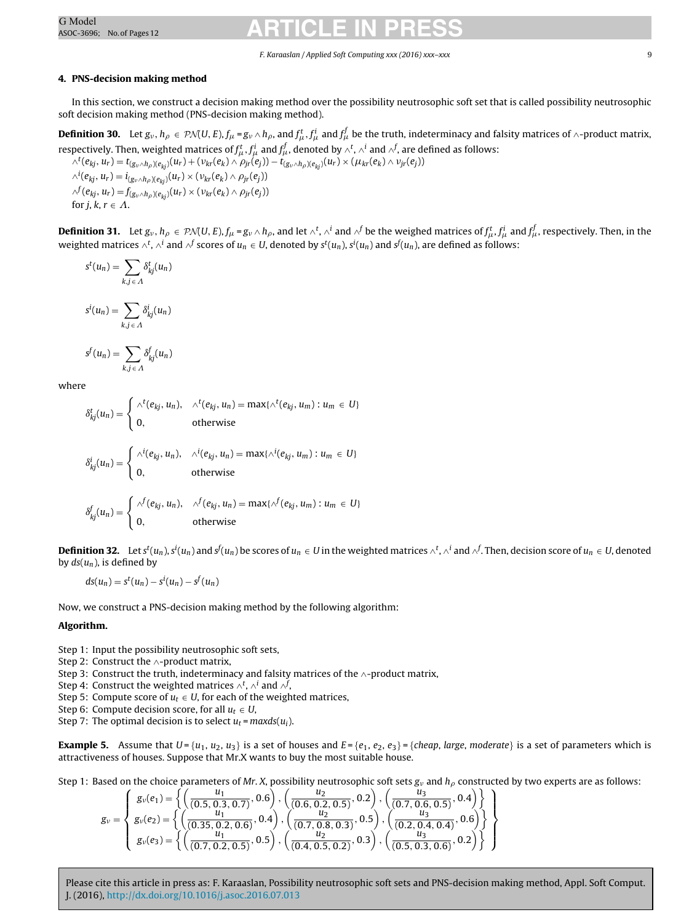### F. Karaaslan / Applied Soft Computing xxx (2016) xxx–xxx 9

### <span id="page-8-0"></span>**4. PNS-decision making method**

In this section, we construct a decision making method over the possibility neutrosophic soft set that is called possibility neutrosophic soft decision making method (PNS-decision making method).

**Definition 30.** Let  $g_\nu, h_\rho \in \mathcal{P}\mathcal{N}(U,E)$ ,  $f_\mu$  =  $g_\nu \wedge h_\rho$ , and  $f_\mu^t$ ,  $f_\mu^i$  and  $f_\mu^f$  be the truth, indeterminacy and falsity matrices of ^-product matrix, respectively. Then, weighted matrices of  $f^t_\mu,f^i_\mu$  and  $f^f_\mu$ , denoted by  $\wedge^t$ ,  $\wedge^i$  and  $\wedge^f$ , are defined as follows:

 $\wedge^t(e_{kj}, u_r) = t_{(g_v \wedge h_\rho)(e_{kj})}(u_r) + (v_{kr}(e_k) \wedge \rho_{jr}(e_j)) - t_{(g_v \wedge h_\rho)(e_{kj})}(u_r) \times (\mu_{kr}(e_k) \wedge v_{jr}(e_j))$  $\wedge^i(e_{kj},u_r)=i_{(g_v\wedge h_\rho)(e_{kj})}(u_r)\times (\nu_{kr}(e_k)\wedge \rho_{jr}(e_j))$  $\wedge^f(e_{kj}, u_r) = f_{(g_v \wedge h_o)(e_{ki})}(u_r) \times (v_{kr}(e_k) \wedge \rho_{jr}(e_j))$ for *j*, *k*,  $r \in \Lambda$ .

**Definition 31.** Let  $g_\nu, h_\rho \in \mathcal{P}\mathcal{N}(U,E)$ ,  $f_\mu$  =  $g_\nu \wedge h_\rho$ , and let  $\wedge^t$ ,  $\wedge^i$  and  $\wedge^f$  be the weighed matrices of  $f_\mu^t, f_\mu^i$  and  $f_\mu^f$ , respectively. Then, in the weighted matrices  $\wedge^t$ ,  $\wedge^l$  and  $\wedge^f$  scores of  $u_n \in U$ , denoted by  $s^t(u_n)$ ,  $s^i(u_n)$  and  $s^f(u_n)$ , are defined as follows:

$$
s^{t}(u_{n}) = \sum_{k,j \in \Lambda} \delta_{kj}^{t}(u_{n})
$$

$$
s^{i}(u_{n}) = \sum_{k,j \in \Lambda} \delta_{kj}^{i}(u_{n})
$$

$$
s^f(u_n) = \sum_{k,j \in \Lambda} \delta^f_{kj}(u_n)
$$

where

$$
\delta_{kj}^t(u_n) = \begin{cases} \wedge^t(e_{kj}, u_n), & \wedge^t(e_{kj}, u_n) = \max\{\wedge^t(e_{kj}, u_m) : u_m \in U\} \\ 0, & \text{otherwise} \end{cases}
$$

$$
\delta_{kj}^i(u_n) = \begin{cases} \wedge^i(e_{kj}, u_n), & \wedge^i(e_{kj}, u_n) = \max\{\wedge^i(e_{kj}, u_m) : u_m \in U\} \\ 0, & \text{otherwise} \end{cases}
$$

$$
\delta_{kj}^f(u_n) = \begin{cases} \n\wedge^f(e_{kj}, u_n), & \wedge^f(e_{kj}, u_n) = \max\{\wedge^f(e_{kj}, u_m) : u_m \in U\} \\ \n0, & \text{otherwise} \n\end{cases}
$$

**Definition 32.** Let  $s^t(u_n), s^i(u_n)$  and  $s^f(u_n)$  be scores of  $u_n \in U$  in the weighted matrices  $\wedge^t$ ,  $\wedge^i$  and  $\wedge^f$ . Then, decision score of  $u_n \in U$ , denoted by  $ds(u_n)$ , is defined by

$$
ds(u_n) = s^t(u_n) - s^i(u_n) - s^f(u_n)
$$

Now, we construct a PNS-decision making method by the following algorithm:

### **Algorithm.**

- Step 1: Input the possibility neutrosophic soft sets,
- Step 2: Construct the ∧-product matrix,

Step 3: Construct the truth, indeterminacy and falsity matrices of the  $\land$ -product matrix,

Step 4: Construct the weighted matrices  $\wedge^t$ ,  $\wedge^i$  and  $\wedge^f$ ,

Step 5: Compute score of  $u_t \in U$ , for each of the weighted matrices,

Step 6: Compute decision score, for all  $u_t \in U$ ,

Step 7: The optimal decision is to select  $u_t$  = maxds( $u_i$ ).

**Example 5.** Assume that  $U = \{u_1, u_2, u_3\}$  is a set of houses and  $E = \{e_1, e_2, e_3\} = \{cheap, large, moderate\}$  is a set of parameters which is attractiveness of houses. Suppose that Mr.X wants to buy the most suitable house.

Step 1: Based on the choice parameters of Mr. X, possibility neutrosophic soft sets  $g<sub>v</sub>$  and  $h<sub>\rho</sub>$  constructed by two experts are as follows:

$$
g_{\nu} = \left\{\n\begin{array}{l}\ng_{\nu}(e_1) = \left\{\n\left(\frac{u_1}{(0.5, 0.3, 0.7)}, 0.6\right), \left(\frac{u_2}{(0.6, 0.2, 0.5)}, 0.2\right), \left(\frac{u_3}{(0.7, 0.6, 0.5)}, 0.4\right)\right\} \\
g_{\nu}(e_2) = \left\{\n\left(\frac{u_1}{(0.35, 0.2, 0.6)}, 0.4\right), \left(\frac{u_2}{(0.7, 0.8, 0.3)}, 0.5\right), \left(\frac{u_3}{(0.2, 0.4, 0.4)}, 0.6\right)\right\} \\
g_{\nu}(e_3) = \left\{\n\left(\frac{u_1}{(0.7, 0.2, 0.5)}, 0.5\right), \left(\frac{u_2}{(0.4, 0.5, 0.2)}, 0.3\right), \left(\frac{u_3}{(0.5, 0.3, 0.6)}, 0.2\right)\n\right\}\n\end{array}\n\right\}
$$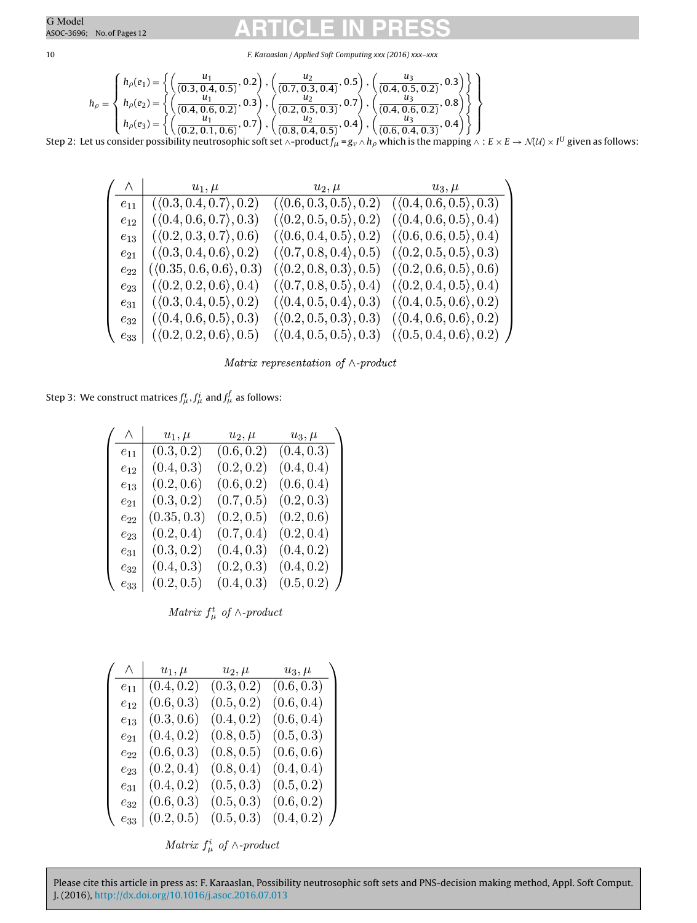10 F. Karaaslan / Applied Soft Computing xxx (2016) xxx–xxx

$$
h_{\rho} = \left\{ \begin{array}{l} h_{\rho}(e_1) = \left\{ \left( \frac{u_1}{(0.3, 0.4, 0.5)}, 0.2 \right), \left( \frac{u_2}{(0.7, 0.3, 0.4)}, 0.5 \right), \left( \frac{u_3}{(0.4, 0.5, 0.2)}, 0.3 \right) \right\} \\ h_{\rho}(e_2) = \left\{ \left( \frac{u_1}{(0.4, 0.6, 0.2)}, 0.3 \right), \left( \frac{u_2}{(0.2, 0.5, 0.3)}, 0.7 \right), \left( \frac{u_3}{(0.4, 0.6, 0.2)}, 0.8 \right) \right\} \\ h_{\rho}(e_3) = \left\{ \left( \frac{u_1}{(0.2, 0.1, 0.6)}, 0.7 \right), \left( \frac{u_2}{(0.8, 0.4, 0.5)}, 0.4 \right), \left( \frac{u_3}{(0.4, 0.6, 0.2)}, 0.4 \right) \right\} \end{array} \right\}
$$

Step 2: Let us consider possibility neutrosophic soft set ∧-product  $f_\mu$  = g<sub>v</sub> ^  $h_\rho$  which is the mapping ^ : E  $\times$  E  $\to$  N(U)  $\times$  I<sup>U</sup> given as follows:

|          | $\left(\begin{array}{c c} \mathrel{\wedge} & \mathrel{ } \end{array}\right) \qquad \qquad u_1,\mu$ |                                        | $u_2, \mu$ $u_3, \mu$                                                         |
|----------|----------------------------------------------------------------------------------------------------|----------------------------------------|-------------------------------------------------------------------------------|
|          | $e_{11}$ ( $(0.3, 0.4, 0.7), 0.2$ )                                                                |                                        | $(\langle 0.6, 0.3, 0.5 \rangle, 0.2)$ $(\langle 0.4, 0.6, 0.5 \rangle, 0.3)$ |
| $e_{12}$ | $(\langle 0.4, 0.6, 0.7 \rangle, 0.3)$                                                             |                                        | $(\langle 0.2, 0.5, 0.5 \rangle, 0.2)$ $(\langle 0.4, 0.6, 0.5 \rangle, 0.4)$ |
| $e_{13}$ | $(\langle 0.2, 0.3, 0.7 \rangle, 0.6)$                                                             |                                        | $(\langle 0.6, 0.4, 0.5 \rangle, 0.2)$ $(\langle 0.6, 0.6, 0.5 \rangle, 0.4)$ |
|          | $e_{21}$ $(\langle 0.3, 0.4, 0.6 \rangle, 0.2)$                                                    | $(\langle 0.7, 0.8, 0.4 \rangle, 0.5)$ | $(\langle 0.2, 0.5, 0.5 \rangle, 0.3)$                                        |
| $e_{22}$ | $(\langle 0.35, 0.6, 0.6 \rangle, 0.3)$                                                            | $(\langle 0.2, 0.8, 0.3 \rangle, 0.5)$ | $(\langle 0.2, 0.6, 0.5 \rangle, 0.6)$                                        |
|          | $e_{23}$ $(\langle 0.2, 0.2, 0.6 \rangle, 0.4)$                                                    |                                        | $(\langle 0.7, 0.8, 0.5 \rangle, 0.4)$ $(\langle 0.2, 0.4, 0.5 \rangle, 0.4)$ |
| $e_{31}$ | $(\langle 0.3, 0.4, 0.5 \rangle, 0.2)$                                                             |                                        | $(\langle 0.4, 0.5, 0.4 \rangle, 0.3)$ $(\langle 0.4, 0.5, 0.6 \rangle, 0.2)$ |
| $e_{32}$ | $(\langle 0.4, 0.6, 0.5 \rangle, 0.3)$                                                             |                                        | $(\langle 0.2, 0.5, 0.3 \rangle, 0.3)$ $(\langle 0.4, 0.6, 0.6 \rangle, 0.2)$ |
|          | $e_{33}$   $(\langle 0.2, 0.2, 0.6 \rangle, 0.5)$                                                  |                                        | $(\langle 0.4, 0.5, 0.5 \rangle, 0.3)$ $(\langle 0.5, 0.4, 0.6 \rangle, 0.2)$ |

Matrix representation of  $\wedge$ -product

Step 3: We construct matrices  $f^t_\mu, f^i_\mu$  and  $f^f_\mu$  as follows:

| Λ        | $u_1, \mu$  | $u_2, \mu$ | $u_3,\mu$  |  |
|----------|-------------|------------|------------|--|
| $e_{11}$ | (0.3, 0.2)  | (0.6, 0.2) | (0.4, 0.3) |  |
| $e_{12}$ | (0.4, 0.3)  | (0.2, 0.2) | (0.4, 0.4) |  |
| $e_{13}$ | (0.2, 0.6)  | (0.6, 0.2) | (0.6, 0.4) |  |
| $e_{21}$ | (0.3, 0.2)  | (0.7, 0.5) | (0.2, 0.3) |  |
| $e_{22}$ | (0.35, 0.3) | (0.2, 0.5) | (0.2, 0.6) |  |
| $e_{23}$ | (0.2, 0.4)  | (0.7, 0.4) | (0.2, 0.4) |  |
| $e_{31}$ | (0.3, 0.2)  | (0.4, 0.3) | (0.4, 0.2) |  |
| $e_{32}$ | (0.4, 0.3)  | (0.2, 0.3) | (0.4, 0.2) |  |
| $e_{33}$ | (0.2, 0.5)  | (0.4, 0.3) | (0.5, 0.2) |  |

Matrix  $f^t_\mu$  of  $\wedge$ -product

| $\wedge$ | $u_1, \mu$ | $u_2, \mu$ | $u_3, \mu$ |
|----------|------------|------------|------------|
| $e_{11}$ | (0.4, 0.2) | (0.3, 0.2) | (0.6, 0.3) |
| $e_{12}$ | (0.6, 0.3) | (0.5, 0.2) | (0.6, 0.4) |
| $e_{13}$ | (0.3, 0.6) | (0.4, 0.2) | (0.6, 0.4) |
| $e_{21}$ | (0.4, 0.2) | (0.8, 0.5) | (0.5, 0.3) |
| $e_{22}$ | (0.6, 0.3) | (0.8, 0.5) | (0.6, 0.6) |
| $e_{23}$ | (0.2, 0.4) | (0.8, 0.4) | (0.4, 0.4) |
| $e_{31}$ | (0.4, 0.2) | (0.5, 0.3) | (0.5, 0.2) |
| $e_{32}$ | (0.6, 0.3) | (0.5, 0.3) | (0.6, 0.2) |
| $e_{33}$ | (0.2, 0.5) | (0.5, 0.3) | (0.4, 0.2) |

Matrix  $f^i_\mu \,$  of  $\wedge\text{-}product$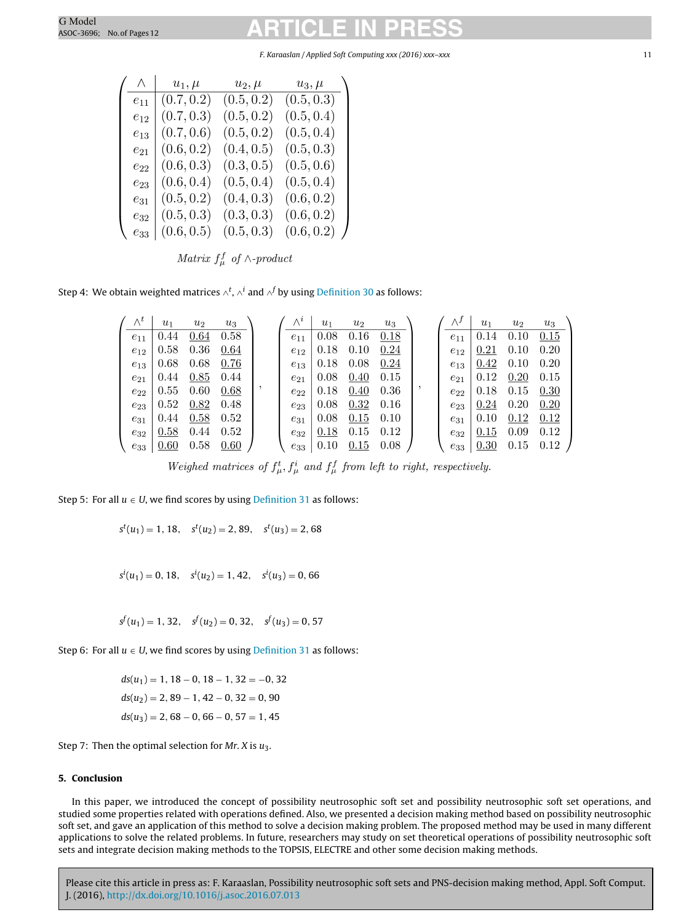#### F. Karaaslan / Applied Soft Computing xxx (2016) xxx–xxx 11

| Λ        | $u_1,\mu$  | $u_2, \mu$ | $u_3,\mu$  |  |
|----------|------------|------------|------------|--|
| $e_{11}$ | (0.7, 0.2) | (0.5, 0.2) | (0.5, 0.3) |  |
| $e_{12}$ | (0.7, 0.3) | (0.5, 0.2) | (0.5, 0.4) |  |
| $e_{13}$ | (0.7, 0.6) | (0.5, 0.2) | (0.5, 0.4) |  |
| $e_{21}$ | (0.6, 0.2) | (0.4, 0.5) | (0.5, 0.3) |  |
| $e_{22}$ | (0.6, 0.3) | (0.3, 0.5) | (0.5, 0.6) |  |
| $e_{23}$ | (0.6, 0.4) | (0.5, 0.4) | (0.5, 0.4) |  |
| $e_{31}$ | (0.5, 0.2) | (0.4, 0.3) | (0.6, 0.2) |  |
| $e_{32}$ | (0.5, 0.3) | (0.3, 0.3) | (0.6, 0.2) |  |
| $e_{33}$ | (0.6, 0.5) | (0.5, 0.3) | (0.6, 0.2) |  |

Matrix  $f^f_\mu$  of  $\wedge$ -product

Step 4: We obtain weighted matrices ∧<sup>t</sup>, ∧<sup>i</sup> and ∧<sup>f</sup> by using <u>[Definition](#page-8-0) [30](#page-8-0)</u> as follows:

|          | $u_1$ | $u_2$ | $u_3$ |          | $u_1$ | $u_2$ | $u_3$ |          | $u_1$ | $u_2$ | $u_3$ |
|----------|-------|-------|-------|----------|-------|-------|-------|----------|-------|-------|-------|
| $e_{11}$ | 0.44  | 0.64  | 0.58  | $e_{11}$ | 0.08  | 0.16  | 0.18  | $e_{11}$ | 0.14  | 0.10  | 0.15  |
| $e_{12}$ | 0.58  | 0.36  | 0.64  | $e_{12}$ | 0.18  | 0.10  | 0.24  | $e_{12}$ | 0.21  | 0.10  | 0.20  |
| $e_{13}$ | 0.68  | 0.68  | 0.76  | $e_{13}$ | 0.18  | 0.08  | 0.24  | $e_{13}$ | 0.42  | 0.10  | 0.20  |
| $e_{21}$ | 0.44  | 0.85  | 0.44  | $e_{21}$ | 0.08  | 0.40  | 0.15  | $e_{21}$ | 0.12  | 0.20  | 0.15  |
| $e_{22}$ | 0.55  | 0.60  | 0.68  | $e_{22}$ | 0.18  | 0.40  | 0.36  | $e_{22}$ | 0.18  | 0.15  | 0.30  |
| $e_{23}$ | 0.52  | 0.82  | 0.48  | $e_{23}$ | 0.08  | 0.32  | 0.16  | $e_{23}$ | 0.24  | 0.20  | 0.20  |
| $e_{31}$ | 0.44  | 0.58  | 0.52  | $e_{31}$ | 0.08  | 0.15  | 0.10  | $e_{31}$ | 0.10  | 0.12  | 0.12  |
| $e_{32}$ | 0.58  | 0.44  | 0.52  | $e_{32}$ | 0.18  | 0.15  | 0.12  | $e_{32}$ | 0.15  | 0.09  | 0.12  |
| $e_{33}$ | 0.60  | 0.58  | 0.60  | $e_{33}$ | 0.10  | 0.15  | 0.08  | $e_{33}$ | 0.30  | 0.15  | 0.12  |

Weighed matrices of  $f^t_\mu$ ,  $f^i_\mu$  and  $f^f_\mu$  from left to right, respectively.

Step 5: For all  $u \in U$ , we find scores by using [Definition](#page-8-0) [31](#page-8-0) as follows:

 $s^{t}(u_1) = 1, 18, \quad s^{t}(u_2) = 2, 89, \quad s^{t}(u_3) = 2, 68$ 

 $s^i(u_1) = 0, 18, \quad s^i(u_2) = 1, 42, \quad s^i(u_3) = 0, 66$ 

 $s^{f}(u_1) = 1, 32, \quad s^{f}(u_2) = 0, 32, \quad s^{f}(u_3) = 0, 57$ 

Step 6: For all  $u \in U$ , we find scores by using [Definition](#page-8-0) [31](#page-8-0) as follows:

 $ds(u_1) = 1, 18 - 0, 18 - 1, 32 = -0, 32$  $ds(u_2) = 2, 89 - 1, 42 - 0, 32 = 0, 90$  $ds(u_3) = 2, 68 - 0, 66 - 0, 57 = 1, 45$ 

Step 7: Then the optimal selection for  $Mr. X$  is  $u_3$ .

### **5. Conclusion**

In this paper, we introduced the concept of possibility neutrosophic soft set and possibility neutrosophic soft set operations, and studied some properties related with operations defined. Also, we presented a decision making method based on possibility neutrosophic soft set, and gave an application of this method to solve a decision making problem. The proposed method may be used in many different applications to solve the related problems. In future, researchers may study on set theoretical operations of possibility neutrosophic soft sets and integrate decision making methods to the TOPSIS, ELECTRE and other some decision making methods.